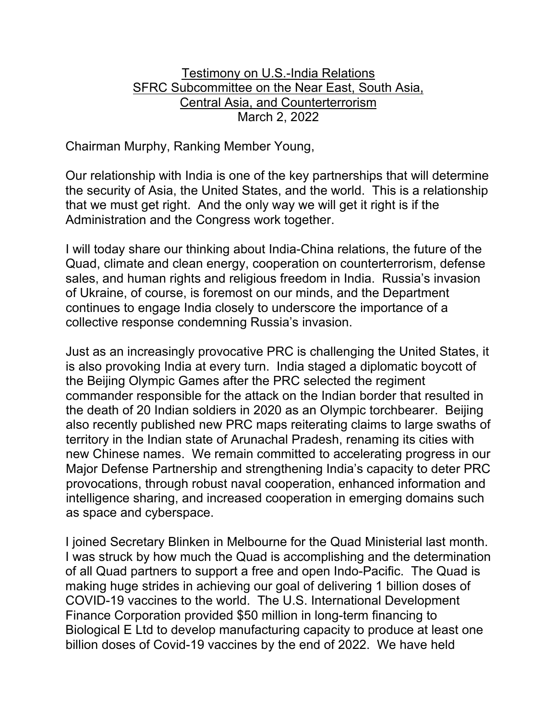## Testimony on U.S.-India Relations SFRC Subcommittee on the Near East, South Asia, Central Asia, and Counterterrorism March 2, 2022

Chairman Murphy, Ranking Member Young,

Our relationship with India is one of the key partnerships that will determine the security of Asia, the United States, and the world. This is a relationship that we must get right. And the only way we will get it right is if the Administration and the Congress work together.

I will today share our thinking about India-China relations, the future of the Quad, climate and clean energy, cooperation on counterterrorism, defense sales, and human rights and religious freedom in India. Russia's invasion of Ukraine, of course, is foremost on our minds, and the Department continues to engage India closely to underscore the importance of a collective response condemning Russia's invasion.

Just as an increasingly provocative PRC is challenging the United States, it is also provoking India at every turn. India staged a diplomatic boycott of the Beijing Olympic Games after the PRC selected the regiment commander responsible for the attack on the Indian border that resulted in the death of 20 Indian soldiers in 2020 as an Olympic torchbearer. Beijing also recently published new PRC maps reiterating claims to large swaths of territory in the Indian state of Arunachal Pradesh, renaming its cities with new Chinese names. We remain committed to accelerating progress in our Major Defense Partnership and strengthening India's capacity to deter PRC provocations, through robust naval cooperation, enhanced information and intelligence sharing, and increased cooperation in emerging domains such as space and cyberspace.

I joined Secretary Blinken in Melbourne for the Quad Ministerial last month. I was struck by how much the Quad is accomplishing and the determination of all Quad partners to support a free and open Indo-Pacific. The Quad is making huge strides in achieving our goal of delivering 1 billion doses of COVID-19 vaccines to the world. The U.S. International Development Finance Corporation provided \$50 million in long-term financing to Biological E Ltd to develop manufacturing capacity to produce at least one billion doses of Covid-19 vaccines by the end of 2022. We have held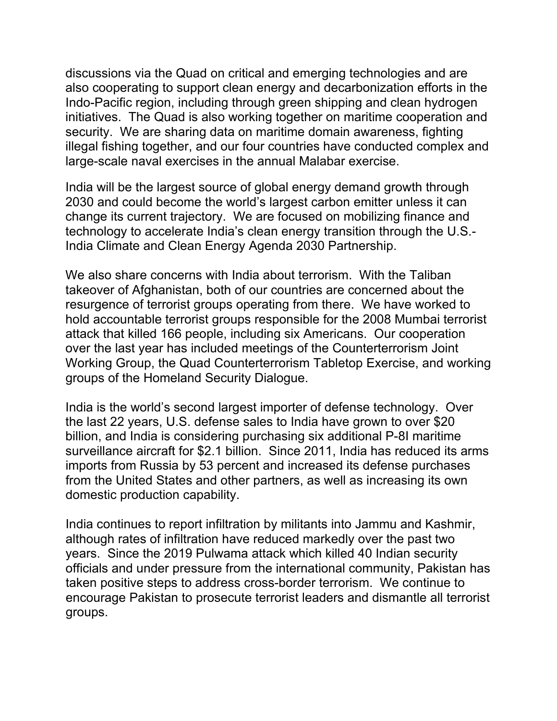discussions via the Quad on critical and emerging technologies and are also cooperating to support clean energy and decarbonization efforts in the Indo-Pacific region, including through green shipping and clean hydrogen initiatives. The Quad is also working together on maritime cooperation and security. We are sharing data on maritime domain awareness, fighting illegal fishing together, and our four countries have conducted complex and large-scale naval exercises in the annual Malabar exercise.

India will be the largest source of global energy demand growth through 2030 and could become the world's largest carbon emitter unless it can change its current trajectory. We are focused on mobilizing finance and technology to accelerate India's clean energy transition through the U.S.- India Climate and Clean Energy Agenda 2030 Partnership.

We also share concerns with India about terrorism. With the Taliban takeover of Afghanistan, both of our countries are concerned about the resurgence of terrorist groups operating from there. We have worked to hold accountable terrorist groups responsible for the 2008 Mumbai terrorist attack that killed 166 people, including six Americans. Our cooperation over the last year has included meetings of the Counterterrorism Joint Working Group, the Quad Counterterrorism Tabletop Exercise, and working groups of the Homeland Security Dialogue.

India is the world's second largest importer of defense technology. Over the last 22 years, U.S. defense sales to India have grown to over \$20 billion, and India is considering purchasing six additional P-8I maritime surveillance aircraft for \$2.1 billion. Since 2011, India has reduced its arms imports from Russia by 53 percent and increased its defense purchases from the United States and other partners, as well as increasing its own domestic production capability.

India continues to report infiltration by militants into Jammu and Kashmir, although rates of infiltration have reduced markedly over the past two years. Since the 2019 Pulwama attack which killed 40 Indian security officials and under pressure from the international community, Pakistan has taken positive steps to address cross-border terrorism. We continue to encourage Pakistan to prosecute terrorist leaders and dismantle all terrorist groups.